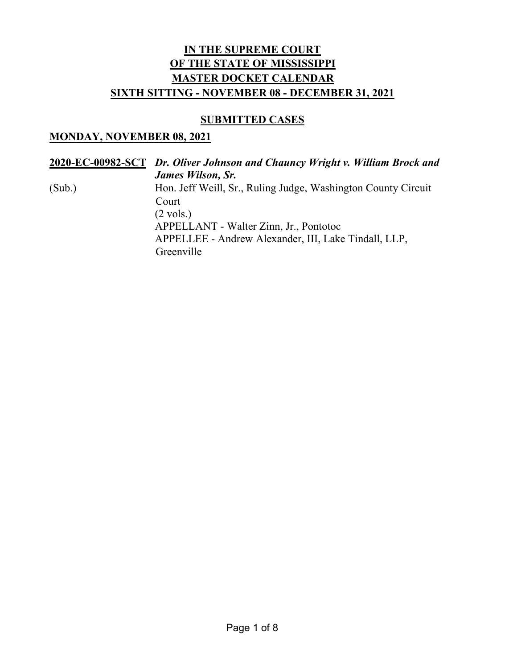#### **SUBMITTED CASES**

#### **MONDAY, NOVEMBER 08, 2021**

**2020-EC-00982-SCT** *Dr. Oliver Johnson and Chauncy Wright v. William Brock and James Wilson, Sr.* (Sub.) Hon. Jeff Weill, Sr., Ruling Judge, Washington County Circuit Court  $(2 \text{ vols.})$ APPELLANT - Walter Zinn, Jr., Pontotoc APPELLEE - Andrew Alexander, III, Lake Tindall, LLP, Greenville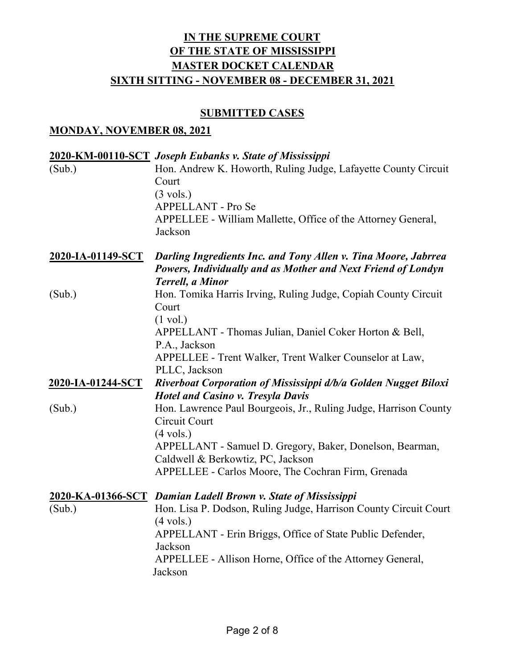## **SUBMITTED CASES**

#### **MONDAY, NOVEMBER 08, 2021**

| (Sub.)                   | 2020-KM-00110-SCT Joseph Eubanks v. State of Mississippi<br>Hon. Andrew K. Howorth, Ruling Judge, Lafayette County Circuit<br>Court<br>$(3 \text{ vols.})$<br>APPELLANT - Pro Se<br>APPELLEE - William Mallette, Office of the Attorney General,<br>Jackson |
|--------------------------|-------------------------------------------------------------------------------------------------------------------------------------------------------------------------------------------------------------------------------------------------------------|
| <u>2020-IA-01149-SCT</u> | <b>Darling Ingredients Inc. and Tony Allen v. Tina Moore, Jabrrea</b><br>Powers, Individually and as Mother and Next Friend of Londyn<br><b>Terrell, a Minor</b>                                                                                            |
| (Sub.)                   | Hon. Tomika Harris Irving, Ruling Judge, Copiah County Circuit<br>Court<br>$(1 \text{ vol.})$<br>APPELLANT - Thomas Julian, Daniel Coker Horton & Bell,                                                                                                     |
|                          | P.A., Jackson<br>APPELLEE - Trent Walker, Trent Walker Counselor at Law,<br>PLLC, Jackson                                                                                                                                                                   |
| 2020-IA-01244-SCT        | Riverboat Corporation of Mississippi d/b/a Golden Nugget Biloxi<br><b>Hotel and Casino v. Tresyla Davis</b>                                                                                                                                                 |
| (Sub.)                   | Hon. Lawrence Paul Bourgeois, Jr., Ruling Judge, Harrison County<br>Circuit Court<br>$(4 \text{ vols.})$                                                                                                                                                    |
|                          | APPELLANT - Samuel D. Gregory, Baker, Donelson, Bearman,<br>Caldwell & Berkowtiz, PC, Jackson<br>APPELLEE - Carlos Moore, The Cochran Firm, Grenada                                                                                                         |
|                          | 2020-KA-01366-SCT Damian Ladell Brown v. State of Mississippi                                                                                                                                                                                               |
| (Sub.)                   | Hon. Lisa P. Dodson, Ruling Judge, Harrison County Circuit Court<br>$(4 \text{ vols.})$<br>APPELLANT - Erin Briggs, Office of State Public Defender,<br>Jackson<br>APPELLEE - Allison Horne, Office of the Attorney General,<br>Jackson                     |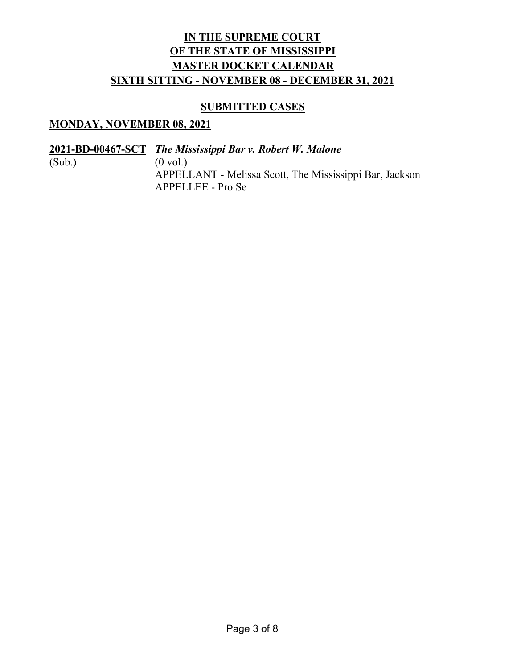### **SUBMITTED CASES**

### **MONDAY, NOVEMBER 08, 2021**

**2021-BD-00467-SCT** *The Mississippi Bar v. Robert W. Malone*

 $(Sub.)$   $(0 \text{ vol.})$ APPELLANT - Melissa Scott, The Mississippi Bar, Jackson APPELLEE - Pro Se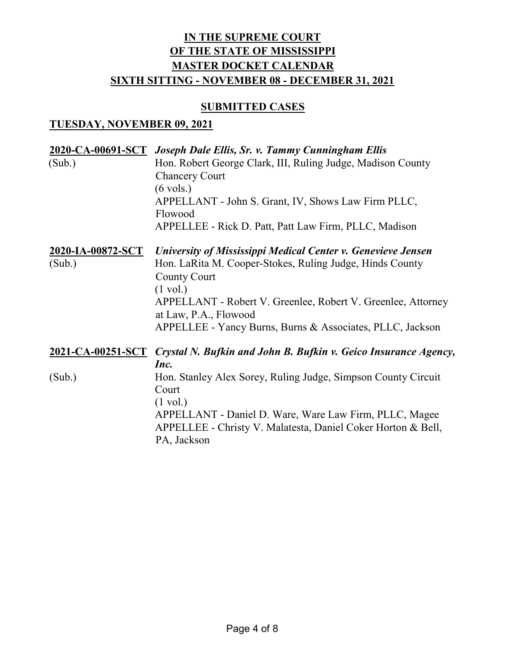#### **SUBMITTED CASES**

### **TUESDAY, NOVEMBER 09, 2021**

|                   | 2020-CA-00691-SCT Joseph Dale Ellis, Sr. v. Tammy Cunningham Ellis                |
|-------------------|-----------------------------------------------------------------------------------|
| (Sub.)            | Hon. Robert George Clark, III, Ruling Judge, Madison County                       |
|                   | <b>Chancery Court</b>                                                             |
|                   | $(6 \text{ vols.})$                                                               |
|                   | APPELLANT - John S. Grant, IV, Shows Law Firm PLLC,                               |
|                   | Flowood                                                                           |
|                   | APPELLEE - Rick D. Patt, Patt Law Firm, PLLC, Madison                             |
| 2020-IA-00872-SCT | University of Mississippi Medical Center v. Genevieve Jensen                      |
| (Sub.)            | Hon. LaRita M. Cooper-Stokes, Ruling Judge, Hinds County                          |
|                   | <b>County Court</b>                                                               |
|                   | $(1 \text{ vol.})$                                                                |
|                   | APPELLANT - Robert V. Greenlee, Robert V. Greenlee, Attorney                      |
|                   | at Law, P.A., Flowood                                                             |
|                   | APPELLEE - Yancy Burns, Burns & Associates, PLLC, Jackson                         |
|                   | 2021-CA-00251-SCT Crystal N. Bufkin and John B. Bufkin v. Geico Insurance Agency, |
|                   | Inc.                                                                              |
| (Sub.)            | Hon. Stanley Alex Sorey, Ruling Judge, Simpson County Circuit                     |
|                   | Court                                                                             |
|                   | $(1 \text{ vol.})$                                                                |
|                   | APPELLANT - Daniel D. Ware, Ware Law Firm, PLLC, Magee                            |
|                   | APPELLEE - Christy V. Malatesta, Daniel Coker Horton & Bell,                      |
|                   | PA, Jackson                                                                       |
|                   |                                                                                   |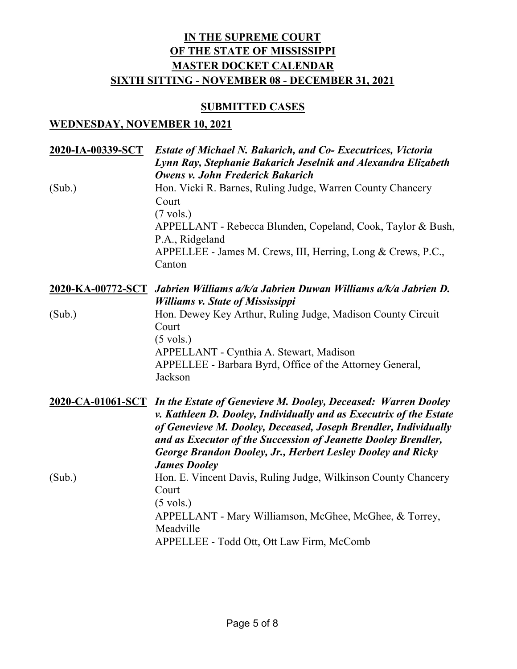### **SUBMITTED CASES**

### **WEDNESDAY, NOVEMBER 10, 2021**

| 2020-IA-00339-SCT | <b>Estate of Michael N. Bakarich, and Co- Executrices, Victoria</b><br>Lynn Ray, Stephanie Bakarich Jeselnik and Alexandra Elizabeth                                                                                                                                                                                                                                             |
|-------------------|----------------------------------------------------------------------------------------------------------------------------------------------------------------------------------------------------------------------------------------------------------------------------------------------------------------------------------------------------------------------------------|
| (Sub.)            | <b>Owens v. John Frederick Bakarich</b><br>Hon. Vicki R. Barnes, Ruling Judge, Warren County Chancery<br>Court<br>$(7 \text{ vols.})$<br>APPELLANT - Rebecca Blunden, Copeland, Cook, Taylor & Bush,<br>P.A., Ridgeland<br>APPELLEE - James M. Crews, III, Herring, Long & Crews, P.C.,<br>Canton                                                                                |
|                   | 2020-KA-00772-SCT Jabrien Williams a/k/a Jabrien Duwan Williams a/k/a Jabrien D.<br><b>Williams v. State of Mississippi</b>                                                                                                                                                                                                                                                      |
| (Sub.)            | Hon. Dewey Key Arthur, Ruling Judge, Madison County Circuit<br>Court<br>$(5 \text{ vols.})$<br>APPELLANT - Cynthia A. Stewart, Madison<br>APPELLEE - Barbara Byrd, Office of the Attorney General,<br>Jackson                                                                                                                                                                    |
|                   | 2020-CA-01061-SCT In the Estate of Genevieve M. Dooley, Deceased: Warren Dooley<br>v. Kathleen D. Dooley, Individually and as Executrix of the Estate<br>of Genevieve M. Dooley, Deceased, Joseph Brendler, Individually<br>and as Executor of the Succession of Jeanette Dooley Brendler,<br>George Brandon Dooley, Jr., Herbert Lesley Dooley and Ricky<br><b>James Dooley</b> |
| (Sub.)            | Hon. E. Vincent Davis, Ruling Judge, Wilkinson County Chancery<br>Court<br>$(5 \text{ vols.})$<br>APPELLANT - Mary Williamson, McGhee, McGhee, & Torrey,<br>Meadville<br>APPELLEE - Todd Ott, Ott Law Firm, McComb                                                                                                                                                               |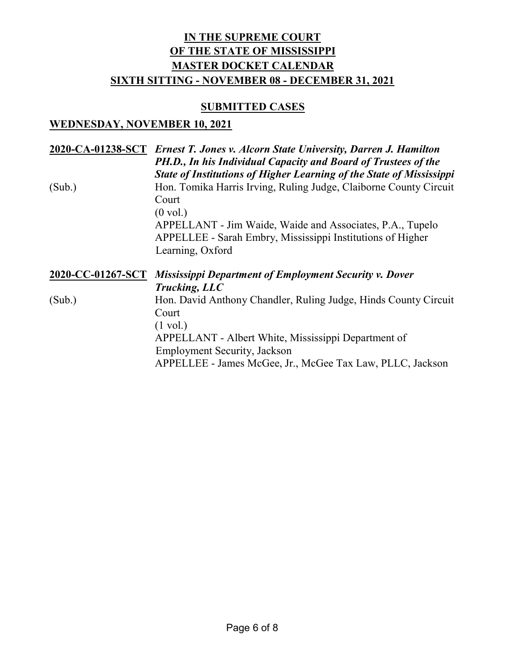#### **SUBMITTED CASES**

### **WEDNESDAY, NOVEMBER 10, 2021**

|        | 2020-CA-01238-SCT Ernest T. Jones v. Alcorn State University, Darren J. Hamilton<br>PH.D., In his Individual Capacity and Board of Trustees of the<br><b>State of Institutions of Higher Learning of the State of Mississippi</b> |
|--------|-----------------------------------------------------------------------------------------------------------------------------------------------------------------------------------------------------------------------------------|
| (Sub.) | Hon. Tomika Harris Irving, Ruling Judge, Claiborne County Circuit<br>Court<br>$(0 \text{ vol.})$                                                                                                                                  |
|        | APPELLANT - Jim Waide, Waide and Associates, P.A., Tupelo<br>APPELLEE - Sarah Embry, Mississippi Institutions of Higher<br>Learning, Oxford                                                                                       |
|        | 2020-CC-01267-SCT Mississippi Department of Employment Security v. Dover<br>Trucking, LLC                                                                                                                                         |
| (Sub.) | Hon. David Anthony Chandler, Ruling Judge, Hinds County Circuit<br>Court<br>$(1 \text{ vol.})$<br>APPELLANT - Albert White, Mississippi Department of                                                                             |
|        | <b>Employment Security, Jackson</b><br>APPELLEE - James McGee, Jr., McGee Tax Law, PLLC, Jackson                                                                                                                                  |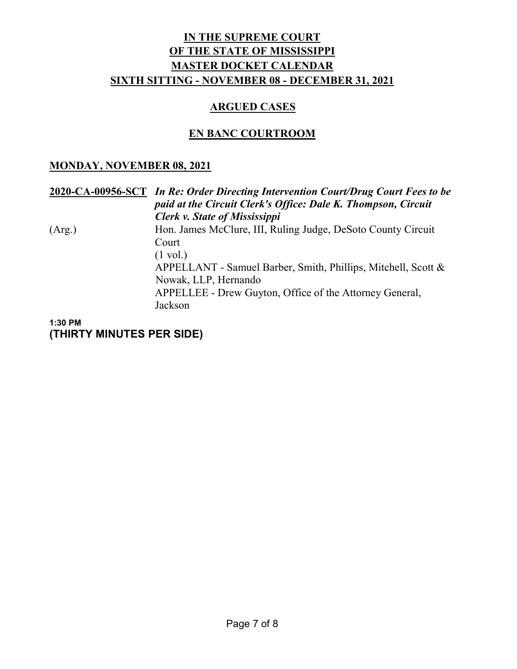### **ARGUED CASES**

### **EN BANC COURTROOM**

### **MONDAY, NOVEMBER 08, 2021**

|        | 2020-CA-00956-SCT In Re: Order Directing Intervention Court/Drug Court Fees to be<br>paid at the Circuit Clerk's Office: Dale K. Thompson, Circuit<br><b>Clerk v. State of Mississippi</b> |
|--------|--------------------------------------------------------------------------------------------------------------------------------------------------------------------------------------------|
| (Arg.) | Hon. James McClure, III, Ruling Judge, DeSoto County Circuit<br>Court                                                                                                                      |
|        | $(1 \text{ vol.})$<br>APPELLANT - Samuel Barber, Smith, Phillips, Mitchell, Scott &<br>Nowak, LLP, Hernando                                                                                |
|        | APPELLEE - Drew Guyton, Office of the Attorney General,<br>Jackson                                                                                                                         |

**1:30 PM (THIRTY MINUTES PER SIDE)**